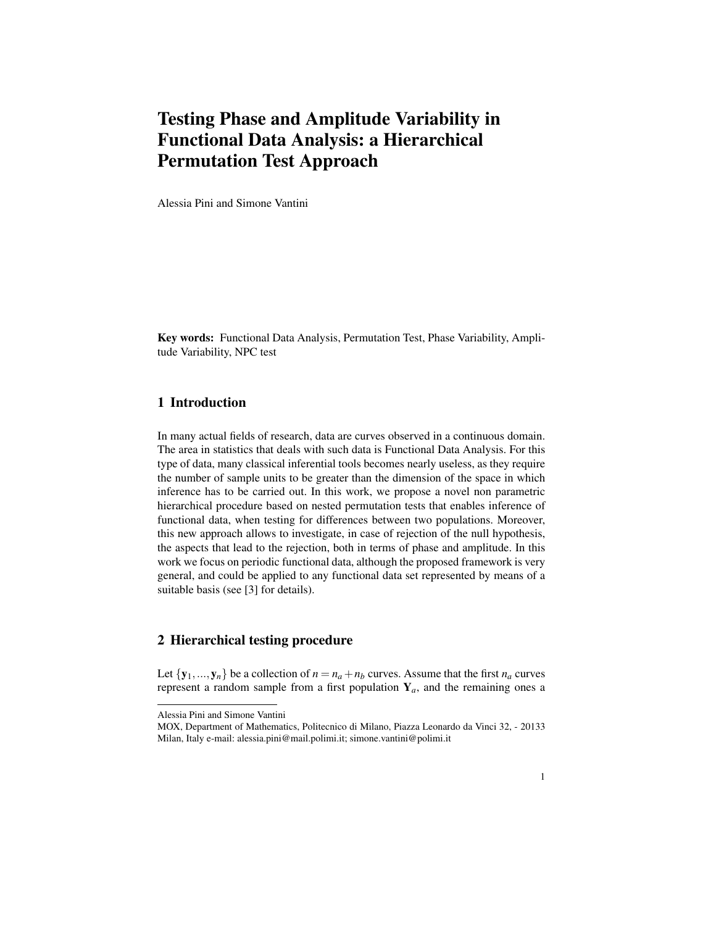# Testing Phase and Amplitude Variability in Functional Data Analysis: a Hierarchical Permutation Test Approach

Alessia Pini and Simone Vantini

Key words: Functional Data Analysis, Permutation Test, Phase Variability, Amplitude Variability, NPC test

## 1 Introduction

In many actual fields of research, data are curves observed in a continuous domain. The area in statistics that deals with such data is Functional Data Analysis. For this type of data, many classical inferential tools becomes nearly useless, as they require the number of sample units to be greater than the dimension of the space in which inference has to be carried out. In this work, we propose a novel non parametric hierarchical procedure based on nested permutation tests that enables inference of functional data, when testing for differences between two populations. Moreover, this new approach allows to investigate, in case of rejection of the null hypothesis, the aspects that lead to the rejection, both in terms of phase and amplitude. In this work we focus on periodic functional data, although the proposed framework is very general, and could be applied to any functional data set represented by means of a suitable basis (see [3] for details).

#### 2 Hierarchical testing procedure

Let  $\{y_1,..., y_n\}$  be a collection of  $n = n_a + n_b$  curves. Assume that the first  $n_a$  curves represent a random sample from a first population  $Y_a$ , and the remaining ones a

Alessia Pini and Simone Vantini

MOX, Department of Mathematics, Politecnico di Milano, Piazza Leonardo da Vinci 32, - 20133 Milan, Italy e-mail: alessia.pini@mail.polimi.it; simone.vantini@polimi.it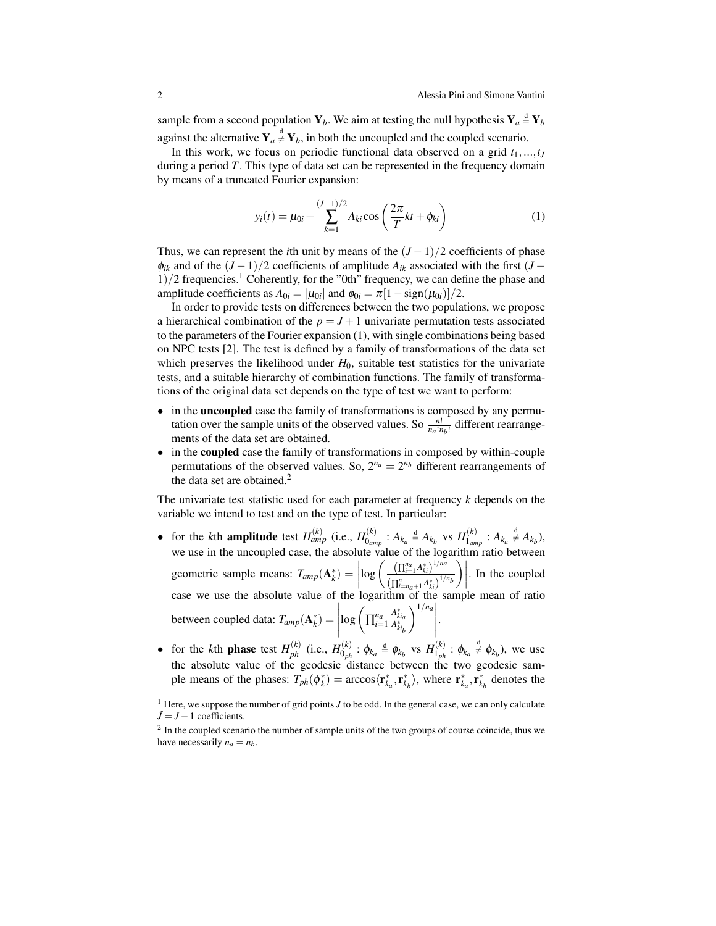sample from a second population  $Y_b$ . We aim at testing the null hypothesis  $Y_a \stackrel{d}{=} Y_b$ against the alternative  $Y_a \stackrel{d}{\neq} Y_b$ , in both the uncoupled and the coupled scenario.

In this work, we focus on periodic functional data observed on a grid  $t_1, \ldots, t_J$ during a period *T*. This type of data set can be represented in the frequency domain by means of a truncated Fourier expansion:

$$
y_i(t) = \mu_{0i} + \sum_{k=1}^{(J-1)/2} A_{ki} \cos\left(\frac{2\pi}{T}kt + \phi_{ki}\right)
$$
 (1)

Thus, we can represent the *i*th unit by means of the  $(J-1)/2$  coefficients of phase  $\phi_{ik}$  and of the  $(J-1)/2$  coefficients of amplitude  $A_{ik}$  associated with the first  $(J 1/2$  frequencies.<sup>1</sup> Coherently, for the "0th" frequency, we can define the phase and amplitude coefficients as  $A_{0i} = |\mu_{0i}|$  and  $\phi_{0i} = \pi[1 - \text{sign}(\mu_{0i})]/2$ .

In order to provide tests on differences between the two populations, we propose a hierarchical combination of the  $p = J + 1$  univariate permutation tests associated to the parameters of the Fourier expansion (1), with single combinations being based on NPC tests [2]. The test is defined by a family of transformations of the data set which preserves the likelihood under  $H_0$ , suitable test statistics for the univariate tests, and a suitable hierarchy of combination functions. The family of transformations of the original data set depends on the type of test we want to perform:

- in the **uncoupled** case the family of transformations is composed by any permutation over the sample units of the observed values. So  $\frac{n!}{n_a!n_b!}$  different rearrangements of the data set are obtained.
- in the coupled case the family of transformations in composed by within-couple permutations of the observed values. So,  $2^{n_a} = 2^{n_b}$  different rearrangements of the data set are obtained. $<sup>2</sup>$ </sup>

The univariate test statistic used for each parameter at frequency *k* depends on the variable we intend to test and on the type of test. In particular:

- for the *k*th **amplitude** test  $H_{amp}^{(k)}$  (i.e.,  $H_{0an}^{(k)}$  $\theta_{amp}^{(k)}$  :  $A_{k_a} \stackrel{d}{=} A_{k_b}$  vs  $H_{1_{am}}^{(k)}$  $A_{\text{1}}^{(k)}$  :  $A_{k_a} \neq A_{k_b}$ ), we use in the uncoupled case, the absolute value of the logarithm ratio between geometric sample means:  $T_{amp}(\mathbf{A}_k^*) = \begin{bmatrix} 1 & 0 & 0 \\ 0 & 0 & 0 \\ 0 & 0 & 0 \end{bmatrix}$  $\log \left( \frac{\left( \prod_{i=1}^{n_a} A_{ki}^* \right)^{1/n_a}}{4} \right)$  $(\prod_{i=n_a+1}^n A_{ki}^*)^{1/n_b}$  $\Big) \Big|$ . In the coupled case we use the absolute value of the logarithm of the sample mean of ratio between coupled data:  $T_{amp}(\mathbf{A}_k^*) =$  $\begin{array}{c} \hline \end{array}$  $\log \left( \prod_{i=1}^{n_a} \right)$ *A* ∗ *kia A* ∗ *kib*  $\left.\sum_{n=1}^{1/n_a}\right|$ .
- for the *k*<sup>th</sup> phase test  $H_{ph}^{(k)}$  (i.e.,  $H_{0_{ph}}^{(k)}$  $\phi_{0ph}^{(k)}$  :  $\phi_{k_a} \triangleq \phi_{k_b}$  vs  $H_{1_{ph}}^{(k)}$  $\mathbf{1}_{ph}^{(k)}$ :  $\phi_{k_a} \neq \phi_{k_b}$ ), we use the absolute value of the geodesic distance between the two geodesic sample means of the phases:  $T_{ph}(\phi_k^*) = \arccos \langle \mathbf{r}_{k_a}^*, \mathbf{r}_{k_b}^* \rangle$ , where  $\mathbf{r}_{k_a}^*, \mathbf{r}_{k_b}^*$  denotes the

<sup>&</sup>lt;sup>1</sup> Here, we suppose the number of grid points *J* to be odd. In the general case, we can only calculate  $\hat{J} = J - 1$  coefficients.

 $2 \text{ In the coupled scenario the number of sample units of the two groups of course coincide, thus we$ have necessarily  $n_a = n_b$ .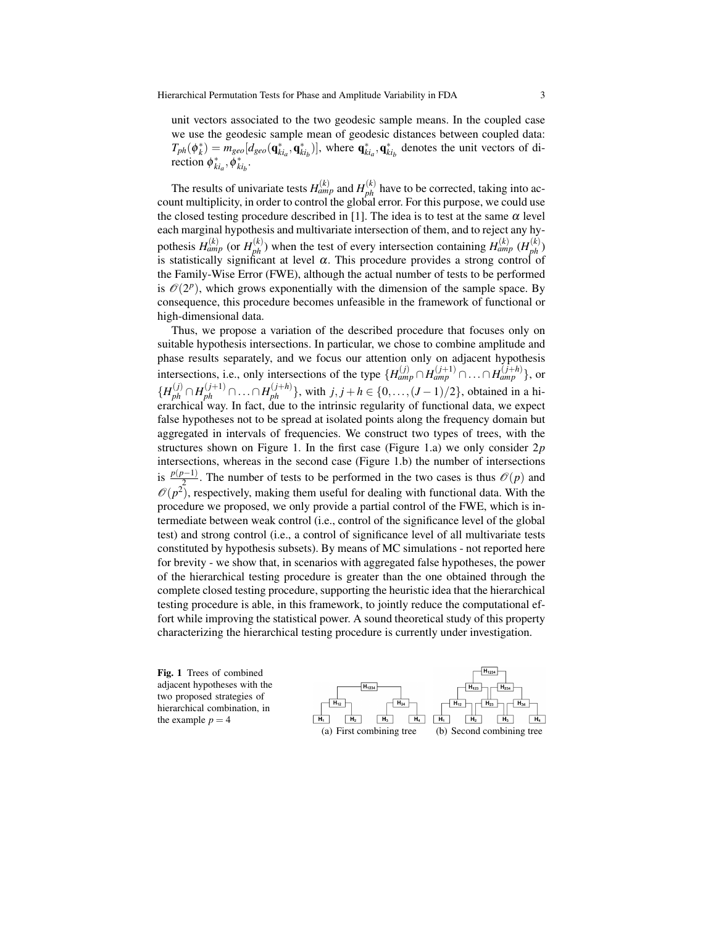unit vectors associated to the two geodesic sample means. In the coupled case we use the geodesic sample mean of geodesic distances between coupled data:  $T_{ph}(\phi_k^*) = m_{geo}[d_{geo}(\mathbf{q}_{ki_a}^*, \mathbf{q}_{ki_b}^*)]$ , where  $\mathbf{q}_{ki_a}^*, \mathbf{q}_{ki_b}^*$  denotes the unit vectors of direction  $\phi_{ki_a}^*, \phi_{ki_b}^*$ .

The results of univariate tests  $H_{amp}^{(k)}$  and  $H_{ph}^{(k)}$  have to be corrected, taking into account multiplicity, in order to control the global error. For this purpose, we could use the closed testing procedure described in [1]. The idea is to test at the same  $\alpha$  level each marginal hypothesis and multivariate intersection of them, and to reject any hypothesis  $H_{amp}^{(k)}$  (or  $H_{ph}^{(k)}$ ) when the test of every intersection containing  $H_{amp}^{(k)}$  ( $H_{ph}^{(k)}$ ) is statistically significant at level  $\alpha$ . This procedure provides a strong control of the Family-Wise Error (FWE), although the actual number of tests to be performed is  $\mathcal{O}(2^p)$ , which grows exponentially with the dimension of the sample space. By consequence, this procedure becomes unfeasible in the framework of functional or high-dimensional data.

Thus, we propose a variation of the described procedure that focuses only on suitable hypothesis intersections. In particular, we chose to combine amplitude and phase results separately, and we focus our attention only on adjacent hypothesis intersections, i.e., only intersections of the type  $\{H_{amp}^{(j)} \cap H_{amp}^{(j+1)} \cap \dots \cap H_{amp}^{(j+h)}\}$ , or *{H*<sub>ph</sub><sup>(*j*+1)</sup> ∩...∩ *H*<sub>ph</sub><sup>(*j*+*h*)</sup>}, with *j*, *j* + *h* ∈ {0,...,(*J* − 1)/2}, obtained in a hierarchical way. In fact, due to the intrinsic regularity of functional data, we expect false hypotheses not to be spread at isolated points along the frequency domain but aggregated in intervals of frequencies. We construct two types of trees, with the structures shown on Figure 1. In the first case (Figure 1.a) we only consider 2*p* intersections, whereas in the second case (Figure 1.b) the number of intersections is  $\frac{p(p-1)}{2}$ . The number of tests to be performed in the two cases is thus  $\mathcal{O}(p)$  and  $\mathcal{O}(p^2)$ , respectively, making them useful for dealing with functional data. With the procedure we proposed, we only provide a partial control of the FWE, which is intermediate between weak control (i.e., control of the significance level of the global test) and strong control (i.e., a control of significance level of all multivariate tests constituted by hypothesis subsets). By means of MC simulations - not reported here for brevity - we show that, in scenarios with aggregated false hypotheses, the power of the hierarchical testing procedure is greater than the one obtained through the complete closed testing procedure, supporting the heuristic idea that the hierarchical testing procedure is able, in this framework, to jointly reduce the computational effort while improving the statistical power. A sound theoretical study of this property characterizing the hierarchical testing procedure is currently under investigation.

Fig. 1 Trees of combined adjacent hypotheses with the two proposed strategies of hierarchical combination, in the example  $p = 4$